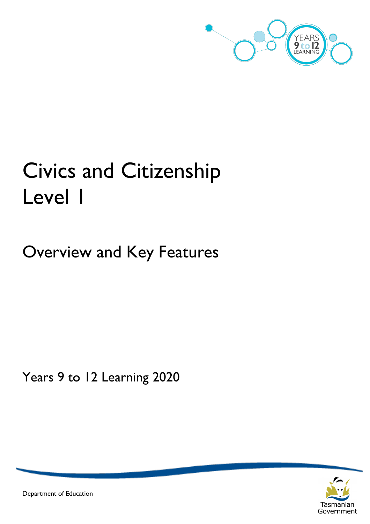

# Civics and Citizenship Level 1

Overview and Key Features

Years 9 to 12 Learning 2020



Department of Education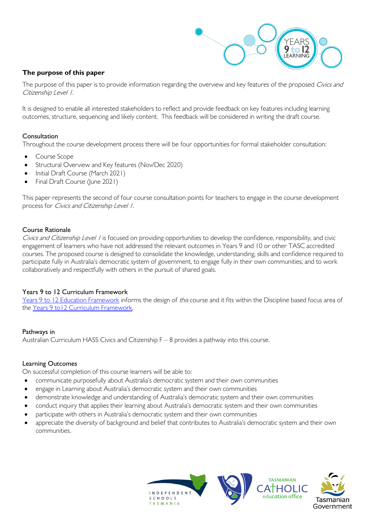

# **The purpose of this paper**

The purpose of this paper is to provide information regarding the overview and key features of the proposed Civics and Citizenship Level 1.

It is designed to enable all interested stakeholders to reflect and provide feedback on key features including learning outcomes, structure, sequencing and likely content. This feedback will be considered in writing the draft course.

## Consultation

Throughout the course development process there will be four opportunities for formal stakeholder consultation:

- Course Scope
- Structural Overview and Key features (Nov/Dec 2020)
- Initial Draft Course (March 2021)
- Final Draft Course (June 2021)

This paper represents the second of four course consultation points for teachers to engage in the course development process for *Civics and Citizenship Level 1.* 

## Course Rationale

Civics and Citizenship Level / is focused on providing opportunities to develop the confidence, responsibility, and civic engagement of learners who have not addressed the relevant outcomes in Years 9 and 10 or other TASC accredited courses. The proposed course is designed to consolidate the knowledge, understanding, skills and confidence required to participate fully in Australia's democratic system of government, to engage fully in their own communities, and to work collaboratively and respectfully with others in the pursuit of shared goals.

#### Years 9 to 12 Curriculum Framework

[Years 9 to 12 Education Framework](https://publicdocumentcentre.education.tas.gov.au/library/Shared%20Documents/Years-9-to-12-Education-Framework.pdf) informs the design of this course and it fits within the Discipline based focus area of the Years 9 to 12 Curriculum Framework.

#### Pathways in

Australian Curriculum HASS Civics and Citizenship F – 8 provides a pathway into this course.

#### Learning Outcomes

On successful completion of this course learners will be able to:

- communicate purposefully about Australia's democratic system and their own communities
- engage in Learning about Australia's democratic system and their own communities
- demonstrate knowledge and understanding of Australia's democratic system and their own communities
- conduct inquiry that applies their learning about Australia's democratic system and their own communities
- participate with others in Australia's democratic system and their own communities
- appreciate the diversity of background and belief that contributes to Australia's democratic system and their own communities.



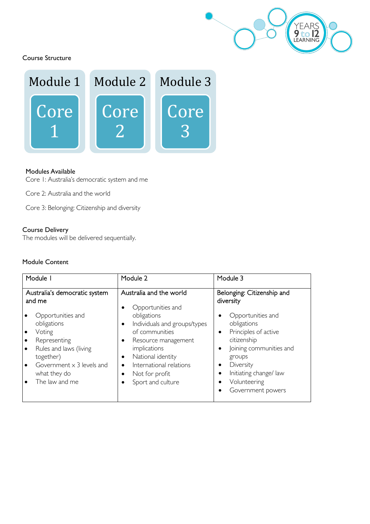

Course Structure



#### Modules Available

Core 1: Australia's democratic system and me

Core 2: Australia and the world

Core 3: Belonging: Citizenship and diversity

# Course Delivery

The modules will be delivered sequentially.

## Module Content

| Module I                                |                                                                                                                                                                         | Module 2                                                                                                                                                                                                                                     | Module 3                                                                                                                                                                                                                     |  |
|-----------------------------------------|-------------------------------------------------------------------------------------------------------------------------------------------------------------------------|----------------------------------------------------------------------------------------------------------------------------------------------------------------------------------------------------------------------------------------------|------------------------------------------------------------------------------------------------------------------------------------------------------------------------------------------------------------------------------|--|
| Australia's democratic system<br>and me |                                                                                                                                                                         | Australia and the world<br>Opportunities and                                                                                                                                                                                                 | Belonging: Citizenship and<br>diversity                                                                                                                                                                                      |  |
| $\bullet$<br>$\bullet$<br>$\bullet$     | Opportunities and<br>obligations<br>Voting<br>Representing<br>Rules and laws (living<br>together)<br>Government $\times$ 3 levels and<br>what they do<br>The law and me | obligations<br>Individuals and groups/types<br>$\bullet$<br>of communities<br>Resource management<br>$\bullet$<br>implications<br>National identity<br>$\bullet$<br>International relations<br>٠<br>Not for profit<br>٠<br>Sport and culture | Opportunities and<br>obligations<br>Principles of active<br>$\bullet$<br>citizenship<br>Joining communities and<br>٠<br>groups<br>Diversity<br>٠<br>Initiating change/ law<br>$\bullet$<br>Volunteering<br>Government powers |  |